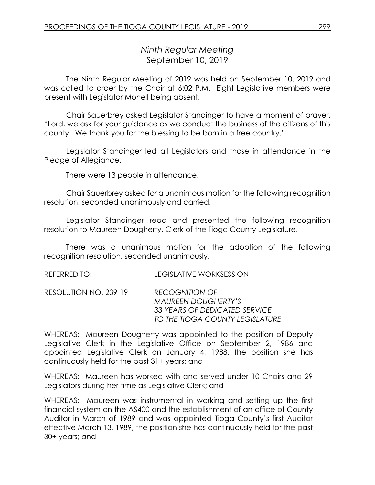# *Ninth Regular Meeting* September 10, 2019

The Ninth Regular Meeting of 2019 was held on September 10, 2019 and was called to order by the Chair at 6:02 P.M. Eight Legislative members were present with Legislator Monell being absent.

Chair Sauerbrey asked Legislator Standinger to have a moment of prayer. "Lord, we ask for your guidance as we conduct the business of the citizens of this county. We thank you for the blessing to be born in a free country."

Legislator Standinger led all Legislators and those in attendance in the Pledge of Allegiance.

There were 13 people in attendance.

Chair Sauerbrey asked for a unanimous motion for the following recognition resolution, seconded unanimously and carried.

Legislator Standinger read and presented the following recognition resolution to Maureen Dougherty, Clerk of the Tioga County Legislature.

There was a unanimous motion for the adoption of the following recognition resolution, seconded unanimously.

REFERRED TO: LEGISLATIVE WORKSESSION

RESOLUTION NO. 239-19 *RECOGNITION OF MAUREEN DOUGHERTY'S 33 YEARS OF DEDICATED SERVICE TO THE TIOGA COUNTY LEGISLATURE*

WHEREAS: Maureen Dougherty was appointed to the position of Deputy Legislative Clerk in the Legislative Office on September 2, 1986 and appointed Legislative Clerk on January 4, 1988, the position she has continuously held for the past 31+ years; and

WHEREAS: Maureen has worked with and served under 10 Chairs and 29 Legislators during her time as Legislative Clerk; and

WHEREAS: Maureen was instrumental in working and setting up the first financial system on the AS400 and the establishment of an office of County Auditor in March of 1989 and was appointed Tioga County's first Auditor effective March 13, 1989, the position she has continuously held for the past 30+ years; and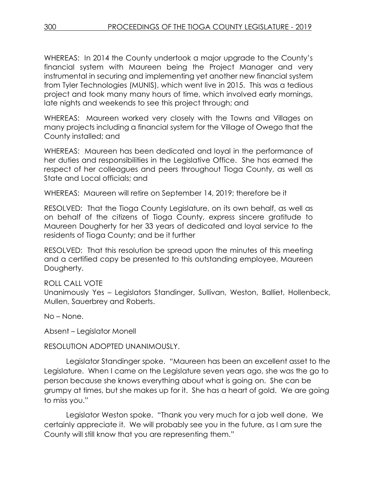WHEREAS: In 2014 the County undertook a major upgrade to the County's financial system with Maureen being the Project Manager and very instrumental in securing and implementing yet another new financial system from Tyler Technologies (MUNIS), which went live in 2015. This was a tedious project and took many many hours of time, which involved early mornings, late nights and weekends to see this project through; and

WHEREAS: Maureen worked very closely with the Towns and Villages on many projects including a financial system for the Village of Owego that the County installed; and

WHEREAS: Maureen has been dedicated and loyal in the performance of her duties and responsibilities in the Legislative Office. She has earned the respect of her colleagues and peers throughout Tioga County, as well as State and Local officials; and

WHEREAS: Maureen will retire on September 14, 2019; therefore be it

RESOLVED: That the Tioga County Legislature, on its own behalf, as well as on behalf of the citizens of Tioga County, express sincere gratitude to Maureen Dougherty for her 33 years of dedicated and loyal service to the residents of Tioga County; and be it further

RESOLVED: That this resolution be spread upon the minutes of this meeting and a certified copy be presented to this outstanding employee, Maureen Dougherty.

# ROLL CALL VOTE

Unanimously Yes – Legislators Standinger, Sullivan, Weston, Balliet, Hollenbeck, Mullen, Sauerbrey and Roberts.

No – None.

Absent – Legislator Monell

RESOLUTION ADOPTED UNANIMOUSLY.

Legislator Standinger spoke. "Maureen has been an excellent asset to the Legislature. When I came on the Legislature seven years ago, she was the go to person because she knows everything about what is going on. She can be grumpy at times, but she makes up for it. She has a heart of gold. We are going to miss you."

Legislator Weston spoke. "Thank you very much for a job well done. We certainly appreciate it. We will probably see you in the future, as I am sure the County will still know that you are representing them."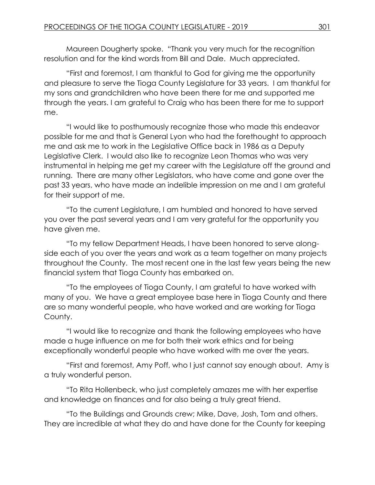Maureen Dougherty spoke. "Thank you very much for the recognition resolution and for the kind words from Bill and Dale. Much appreciated.

"First and foremost, I am thankful to God for giving me the opportunity and pleasure to serve the Tioga County Legislature for 33 years. I am thankful for my sons and grandchildren who have been there for me and supported me through the years. I am grateful to Craig who has been there for me to support me.

"I would like to posthumously recognize those who made this endeavor possible for me and that is General Lyon who had the forethought to approach me and ask me to work in the Legislative Office back in 1986 as a Deputy Legislative Clerk. I would also like to recognize Leon Thomas who was very instrumental in helping me get my career with the Legislature off the ground and running. There are many other Legislators, who have come and gone over the past 33 years, who have made an indelible impression on me and I am grateful for their support of me.

"To the current Legislature, I am humbled and honored to have served you over the past several years and I am very grateful for the opportunity you have given me.

"To my fellow Department Heads, I have been honored to serve alongside each of you over the years and work as a team together on many projects throughout the County. The most recent one in the last few years being the new financial system that Tioga County has embarked on.

"To the employees of Tioga County, I am grateful to have worked with many of you. We have a great employee base here in Tioga County and there are so many wonderful people, who have worked and are working for Tioga County.

"I would like to recognize and thank the following employees who have made a huge influence on me for both their work ethics and for being exceptionally wonderful people who have worked with me over the years.

"First and foremost, Amy Poff, who I just cannot say enough about. Amy is a truly wonderful person.

"To Rita Hollenbeck, who just completely amazes me with her expertise and knowledge on finances and for also being a truly great friend.

"To the Buildings and Grounds crew; Mike, Dave, Josh, Tom and others. They are incredible at what they do and have done for the County for keeping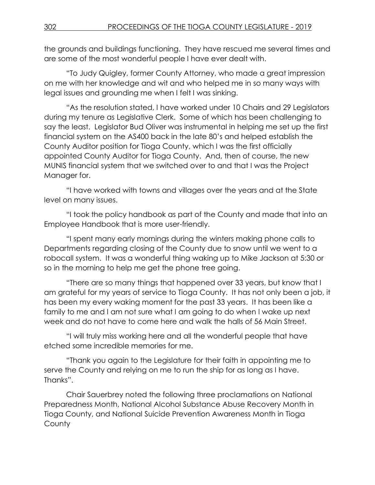the grounds and buildings functioning. They have rescued me several times and are some of the most wonderful people I have ever dealt with.

"To Judy Quigley, former County Attorney, who made a great impression on me with her knowledge and wit and who helped me in so many ways with legal issues and grounding me when I felt I was sinking.

"As the resolution stated, I have worked under 10 Chairs and 29 Legislators during my tenure as Legislative Clerk. Some of which has been challenging to say the least. Legislator Bud Oliver was instrumental in helping me set up the first financial system on the AS400 back in the late 80's and helped establish the County Auditor position for Tioga County, which I was the first officially appointed County Auditor for Tioga County. And, then of course, the new MUNIS financial system that we switched over to and that I was the Project Manager for.

"I have worked with towns and villages over the years and at the State level on many issues.

"I took the policy handbook as part of the County and made that into an Employee Handbook that is more user-friendly.

"I spent many early mornings during the winters making phone calls to Departments regarding closing of the County due to snow until we went to a robocall system. It was a wonderful thing waking up to Mike Jackson at 5:30 or so in the morning to help me get the phone tree going.

"There are so many things that happened over 33 years, but know that I am grateful for my years of service to Tioga County. It has not only been a job, it has been my every waking moment for the past 33 years. It has been like a family to me and I am not sure what I am going to do when I wake up next week and do not have to come here and walk the halls of 56 Main Street.

"I will truly miss working here and all the wonderful people that have etched some incredible memories for me.

"Thank you again to the Legislature for their faith in appointing me to serve the County and relying on me to run the ship for as long as I have. Thanks".

Chair Sauerbrey noted the following three proclamations on National Preparedness Month, National Alcohol Substance Abuse Recovery Month in Tioga County, and National Suicide Prevention Awareness Month in Tioga **County**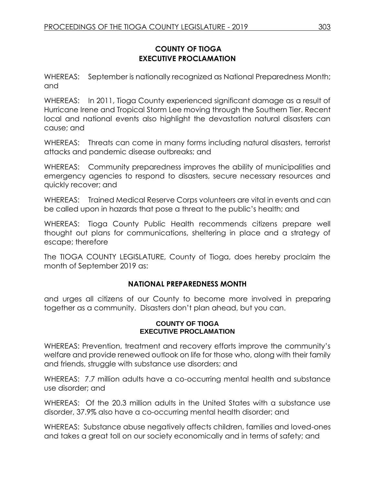# **COUNTY OF TIOGA EXECUTIVE PROCLAMATION**

WHEREAS: September is nationally recognized as National Preparedness Month; and

WHEREAS: In 2011, Tioga County experienced significant damage as a result of Hurricane Irene and Tropical Storm Lee moving through the Southern Tier. Recent local and national events also highlight the devastation natural disasters can cause; and

WHEREAS: Threats can come in many forms including natural disasters, terrorist attacks and pandemic disease outbreaks; and

WHEREAS: Community preparedness improves the ability of municipalities and emergency agencies to respond to disasters, secure necessary resources and quickly recover; and

WHEREAS: Trained Medical Reserve Corps volunteers are vital in events and can be called upon in hazards that pose a threat to the public's health; and

WHEREAS: Tioga County Public Health recommends citizens prepare well thought out plans for communications, sheltering in place and a strategy of escape; therefore

The TIOGA COUNTY LEGISLATURE, County of Tioga, does hereby proclaim the month of September 2019 as:

# **NATIONAL PREPAREDNESS MONTH**

and urges all citizens of our County to become more involved in preparing together as a community. Disasters don't plan ahead, but you can.

#### **COUNTY OF TIOGA EXECUTIVE PROCLAMATION**

WHEREAS: Prevention, treatment and recovery efforts improve the community's welfare and provide renewed outlook on life for those who, along with their family and friends, struggle with substance use disorders; and

WHEREAS: 7.7 million adults have a co-occurring mental health and substance use disorder; and

WHEREAS: Of the 20.3 million adults in the United States with a substance use disorder, 37.9% also have a co-occurring mental health disorder; and

WHEREAS: Substance abuse negatively affects children, families and loved-ones and takes a great toll on our society economically and in terms of safety; and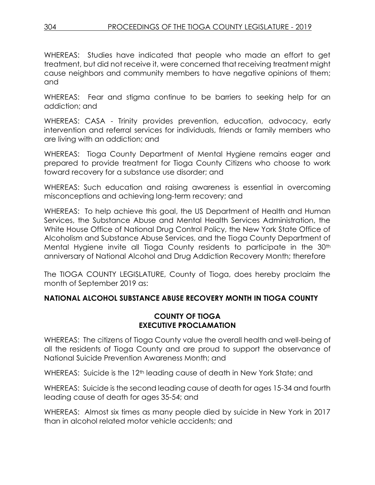WHEREAS: Studies have indicated that people who made an effort to get treatment, but did not receive it, were concerned that receiving treatment might cause neighbors and community members to have negative opinions of them; and

WHEREAS: Fear and stigma continue to be barriers to seeking help for an addiction; and

WHEREAS: CASA - Trinity provides prevention, education, advocacy, early intervention and referral services for individuals, friends or family members who are living with an addiction; and

WHEREAS: Tioga County Department of Mental Hygiene remains eager and prepared to provide treatment for Tioga County Citizens who choose to work toward recovery for a substance use disorder; and

WHEREAS: Such education and raising awareness is essential in overcoming misconceptions and achieving long-term recovery; and

WHEREAS: To help achieve this goal, the US Department of Health and Human Services, the Substance Abuse and Mental Health Services Administration, the White House Office of National Drug Control Policy, the New York State Office of Alcoholism and Substance Abuse Services, and the Tioga County Department of Mental Hygiene invite all Tioga County residents to participate in the 30<sup>th</sup> anniversary of National Alcohol and Drug Addiction Recovery Month; therefore

The TIOGA COUNTY LEGISLATURE, County of Tioga, does hereby proclaim the month of September 2019 as:

# **NATIONAL ALCOHOL SUBSTANCE ABUSE RECOVERY MONTH IN TIOGA COUNTY**

# **COUNTY OF TIOGA EXECUTIVE PROCLAMATION**

WHEREAS: The citizens of Tioga County value the overall health and well-being of all the residents of Tioga County and are proud to support the observance of National Suicide Prevention Awareness Month; and

WHEREAS: Suicide is the 12<sup>th</sup> leading cause of death in New York State; and

WHEREAS: Suicide is the second leading cause of death for ages 15-34 and fourth leading cause of death for ages 35-54; and

WHEREAS: Almost six times as many people died by suicide in New York in 2017 than in alcohol related motor vehicle accidents; and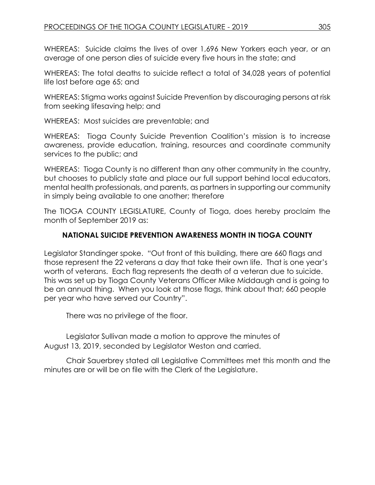WHEREAS: Suicide claims the lives of over 1,696 New Yorkers each year, or an average of one person dies of suicide every five hours in the state; and

WHEREAS: The total deaths to suicide reflect a total of 34,028 years of potential life lost before age 65; and

WHEREAS: Stigma works against Suicide Prevention by discouraging persons at risk from seeking lifesaving help; and

WHEREAS: Most suicides are preventable; and

WHEREAS: Tioga County Suicide Prevention Coalition's mission is to increase awareness, provide education, training, resources and coordinate community services to the public; and

WHEREAS: Tioga County is no different than any other community in the country, but chooses to publicly state and place our full support behind local educators, mental health professionals, and parents, as partners in supporting our community in simply being available to one another; therefore

The TIOGA COUNTY LEGISLATURE, County of Tioga, does hereby proclaim the month of September 2019 as:

# **NATIONAL SUICIDE PREVENTION AWARENESS MONTH IN TIOGA COUNTY**

Legislator Standinger spoke. "Out front of this building, there are 660 flags and those represent the 22 veterans a day that take their own life. That is one year's worth of veterans. Each flag represents the death of a veteran due to suicide. This was set up by Tioga County Veterans Officer Mike Middaugh and is going to be an annual thing. When you look at those flags, think about that; 660 people per year who have served our Country".

There was no privilege of the floor.

Legislator Sullivan made a motion to approve the minutes of August 13, 2019, seconded by Legislator Weston and carried.

Chair Sauerbrey stated all Legislative Committees met this month and the minutes are or will be on file with the Clerk of the Legislature.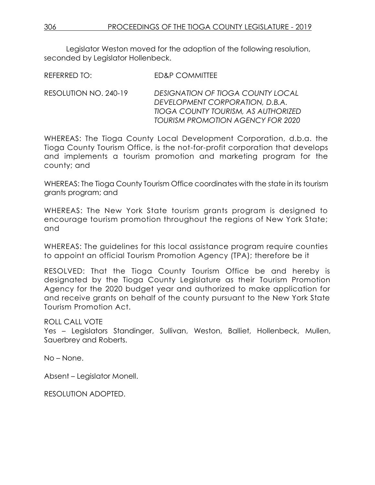Legislator Weston moved for the adoption of the following resolution, seconded by Legislator Hollenbeck.

REFERRED TO: FD&P COMMITTEE

RESOLUTION NO. 240-19 *DESIGNATION OF TIOGA COUNTY LOCAL DEVELOPMENT CORPORATION, D.B.A. TIOGA COUNTY TOURISM, AS AUTHORIZED TOURISM PROMOTION AGENCY FOR 2020*

WHEREAS: The Tioga County Local Development Corporation, d.b.a. the Tioga County Tourism Office, is the not-for-profit corporation that develops and implements a tourism promotion and marketing program for the county; and

WHEREAS: The Tioga County Tourism Office coordinates with the state in its tourism grants program; and

WHEREAS: The New York State tourism grants program is designed to encourage tourism promotion throughout the regions of New York State; and

WHEREAS: The guidelines for this local assistance program require counties to appoint an official Tourism Promotion Agency (TPA); therefore be it

RESOLVED: That the Tioga County Tourism Office be and hereby is designated by the Tioga County Legislature as their Tourism Promotion Agency for the 2020 budget year and authorized to make application for and receive grants on behalf of the county pursuant to the New York State Tourism Promotion Act.

ROLL CALL VOTE

Yes – Legislators Standinger, Sullivan, Weston, Balliet, Hollenbeck, Mullen, Sauerbrey and Roberts.

No – None.

Absent – Legislator Monell.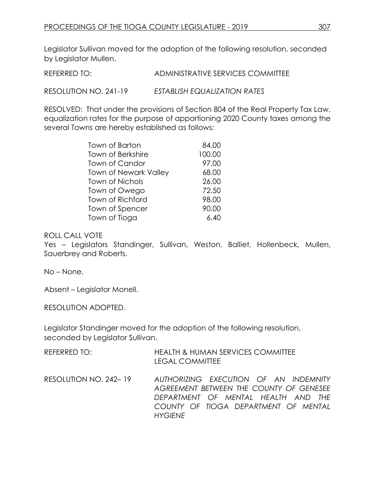Legislator Sullivan moved for the adoption of the following resolution, seconded by Legislator Mullen.

REFERRED TO: ADMINISTRATIVE SERVICES COMMITTEE

RESOLUTION NO. 241-19 *ESTABLISH EQUALIZATION RATES*

RESOLVED: That under the provisions of Section 804 of the Real Property Tax Law, equalization rates for the purpose of apportioning 2020 County taxes among the several Towns are hereby established as follows:

| Town of Barton               | 84.00  |
|------------------------------|--------|
| <b>Town of Berkshire</b>     | 100.00 |
| Town of Candor               | 97.00  |
| <b>Town of Newark Valley</b> | 68.00  |
| <b>Town of Nichols</b>       | 26.00  |
| Town of Owego                | 72.50  |
| Town of Richford             | 98.00  |
| Town of Spencer              | 90.00  |
| Town of Tioga                | 6.40   |

ROLL CALL VOTE

Yes – Legislators Standinger, Sullivan, Weston, Balliet, Hollenbeck, Mullen, Sauerbrey and Roberts.

No – None.

Absent – Legislator Monell.

RESOLUTION ADOPTED.

Legislator Standinger moved for the adoption of the following resolution, seconded by Legislator Sullivan.

| REFERRED TO:          | <b>HEALTH &amp; HUMAN SERVICES COMMITTEE</b><br><b>LEGAL COMMITTEE</b>                                                                                                            |
|-----------------------|-----------------------------------------------------------------------------------------------------------------------------------------------------------------------------------|
| RESOLUTION NO. 242–19 | AUTHORIZING EXECUTION OF AN INDEMNITY<br>AGREEMENT BETWEEN THE COUNTY OF GENESEE<br>DEPARTMENT OF MENTAL HEALTH AND THE<br>COUNTY OF TIOGA DEPARTMENT OF MENTAL<br><b>HYGIFNF</b> |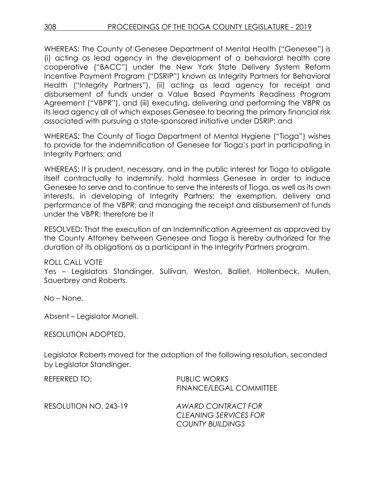WHEREAS: The County of Genesee Department of Mental Health ("Genesee") is (i) acting as lead agency in the development of a behavioral health care cooperative ("BACC") under the New York State Delivery System Reform Incentive Payment Program ("DSRIP") known as Integrity Partners for Behavioral Health ("Integrity Partners"), (ii) acting as lead agency for receipt and disbursement of funds under a Value Based Payments Readiness Program Agreement ("VBPR"), and (iii) executing, delivering and performing the VBPR as its lead agency all of which exposes Genesee to bearing the primary financial risk associated with pursuing a state-sponsored initiative under DSRIP; and

WHEREAS: The County of Tioga Department of Mental Hygiene ("Tioga") wishes to provide for the indemnification of Genesee for Tioga's part in participating in Integrity Partners; and

WHEREAS: It is prudent, necessary, and in the public interest for Tioga to obligate itself contractually to indemnify, hold harmless Genesee in order to induce Genesee to serve and to continue to serve the interests of Tioga, as well as its own interests, in developing of Integrity Partners; the exemption, delivery and performance of the VBPR; and managing the receipt and disbursement of funds under the VBPR; therefore be it

RESOLVED: That the execution of an Indemnification Agreement as approved by the County Attorney between Genesee and Tioga is hereby authorized for the duration of its obligations as a participant in the Integrity Partners program.

ROLL CALL VOTE

Yes – Legislators Standinger, Sullivan, Weston, Balliet, Hollenbeck, Mullen, Sauerbrey and Roberts.

No – None.

Absent – Legislator Monell.

RESOLUTION ADOPTED.

Legislator Roberts moved for the adoption of the following resolution, seconded by Legislator Standinger.

| REFERRED TO:          | <b>PUBLIC WORKS</b><br><b>FINANCE/LEGAL COMMITTEE</b>                  |
|-----------------------|------------------------------------------------------------------------|
| RESOLUTION NO. 243-19 | AWARD CONTRACT FOR<br>CLEANING SERVICES FOR<br><b>COUNTY BUILDINGS</b> |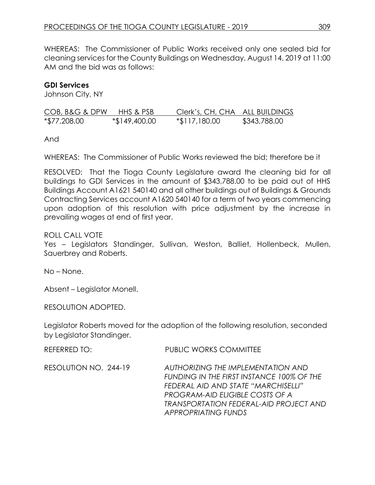WHEREAS: The Commissioner of Public Works received only one sealed bid for cleaning services for the County Buildings on Wednesday, August 14, 2019 at 11:00 AM and the bid was as follows:

# **GDI Services**

Johnson City, NY

| COB, B&G & DPW | HHS & PSB     | Clerk's, CH, CHA ALL BUILDINGS |              |
|----------------|---------------|--------------------------------|--------------|
| *\$77,208.00   | *\$149,400.00 | *\$117,180.00                  | \$343,788.00 |

And

WHEREAS: The Commissioner of Public Works reviewed the bid; therefore be it

RESOLVED: That the Tioga County Legislature award the cleaning bid for all buildings to GDI Services in the amount of \$343,788.00 to be paid out of HHS Buildings Account A1621 540140 and all other buildings out of Buildings & Grounds Contracting Services account A1620 540140 for a term of two years commencing upon adoption of this resolution with price adjustment by the increase in prevailing wages at end of first year.

ROLL CALL VOTE

Yes – Legislators Standinger, Sullivan, Weston, Balliet, Hollenbeck, Mullen, Sauerbrey and Roberts.

No – None.

Absent – Legislator Monell.

RESOLUTION ADOPTED.

Legislator Roberts moved for the adoption of the following resolution, seconded by Legislator Standinger.

| REFERRED TO:          | <b>PUBLIC WORKS COMMITTEE</b>                                                                                                                                                                                                                   |
|-----------------------|-------------------------------------------------------------------------------------------------------------------------------------------------------------------------------------------------------------------------------------------------|
| RESOLUTION NO. 244-19 | AUTHORIZING THE IMPLEMENTATION AND<br>FUNDING IN THE FIRST INSTANCE 100% OF THE<br>FEDERAL AID AND STATE "MARCHISELLI"<br><b>PROGRAM-AID ELIGIBLE COSTS OF A</b><br><b>TRANSPORTATION FEDERAL-AID PROJECT AND</b><br><b>APPROPRIATING FUNDS</b> |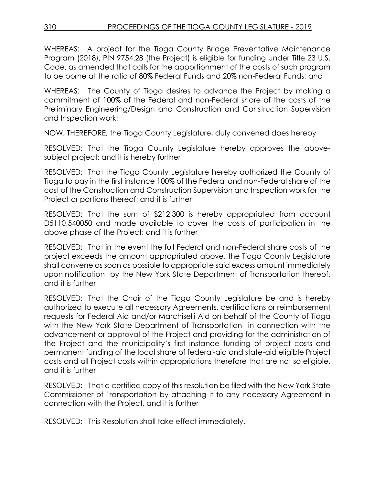WHEREAS: A project for the Tioga County Bridge Preventative Maintenance Program (2018), PIN 9754.28 (the Project) is eligible for funding under Title 23 U.S. Code, as amended that calls for the apportionment of the costs of such program to be borne at the ratio of 80% Federal Funds and 20% non-Federal Funds; and

WHEREAS: The County of Tioga desires to advance the Project by making a commitment of 100% of the Federal and non-Federal share of the costs of the Preliminary Engineering/Design and Construction and Construction Supervision and Inspection work;

NOW, THEREFORE, the Tioga County Legislature, duly convened does hereby

RESOLVED: That the Tioga County Legislature hereby approves the abovesubject project; and it is hereby further

RESOLVED: That the Tioga County Legislature hereby authorized the County of Tioga to pay in the first instance 100% of the Federal and non-Federal share of the cost of the Construction and Construction Supervision and Inspection work for the Project or portions thereof; and it is further

RESOLVED: That the sum of \$212,300 is hereby appropriated from account D5110.540050 and made available to cover the costs of participation in the above phase of the Project; and it is further

RESOLVED: That in the event the full Federal and non-Federal share costs of the project exceeds the amount appropriated above, the Tioga County Legislature shall convene as soon as possible to appropriate said excess amount immediately upon notification by the New York State Department of Transportation thereof, and it is further

RESOLVED: That the Chair of the Tioga County Legislature be and is hereby authorized to execute all necessary Agreements, certifications or reimbursement requests for Federal Aid and/or Marchiselli Aid on behalf of the County of Tioga with the New York State Department of Transportation in connection with the advancement or approval of the Project and providing for the administration of the Project and the municipality's first instance funding of project costs and permanent funding of the local share of federal-aid and state-aid eligible Project costs and all Project costs within appropriations therefore that are not so eligible, and it is further

RESOLVED: That a certified copy of this resolution be filed with the New York State Commissioner of Transportation by attaching it to any necessary Agreement in connection with the Project, and it is further

RESOLVED: This Resolution shall take effect immediately.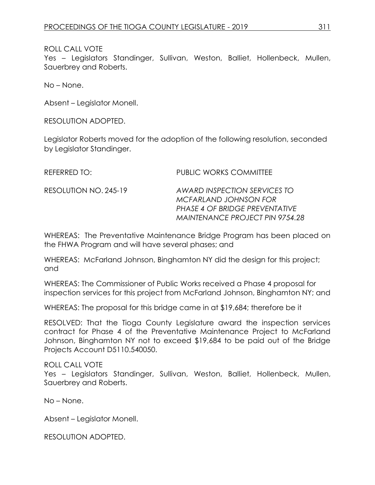# ROLL CALL VOTE

Yes – Legislators Standinger, Sullivan, Weston, Balliet, Hollenbeck, Mullen, Sauerbrey and Roberts.

No – None.

Absent – Legislator Monell.

RESOLUTION ADOPTED.

Legislator Roberts moved for the adoption of the following resolution, seconded by Legislator Standinger.

| REFERRED TO:          | <b>PUBLIC WORKS COMMITTEE</b>                                                                                                            |
|-----------------------|------------------------------------------------------------------------------------------------------------------------------------------|
| RESOLUTION NO. 245-19 | AWARD INSPECTION SERVICES TO<br>MCFARLAND JOHNSON FOR<br><b>PHASE 4 OF BRIDGE PREVENTATIVE</b><br><b>MAINTENANCE PROJECT PIN 9754.28</b> |

WHEREAS: The Preventative Maintenance Bridge Program has been placed on the FHWA Program and will have several phases; and

WHEREAS: McFarland Johnson, Binghamton NY did the design for this project; and

WHEREAS: The Commissioner of Public Works received a Phase 4 proposal for inspection services for this project from McFarland Johnson, Binghamton NY; and

WHEREAS: The proposal for this bridge came in at \$19,684; therefore be it

RESOLVED: That the Tioga County Legislature award the inspection services contract for Phase 4 of the Preventative Maintenance Project to McFarland Johnson, Binghamton NY not to exceed \$19,684 to be paid out of the Bridge Projects Account D5110.540050.

#### ROLL CALL VOTE

Yes – Legislators Standinger, Sullivan, Weston, Balliet, Hollenbeck, Mullen, Sauerbrey and Roberts.

No – None.

Absent – Legislator Monell.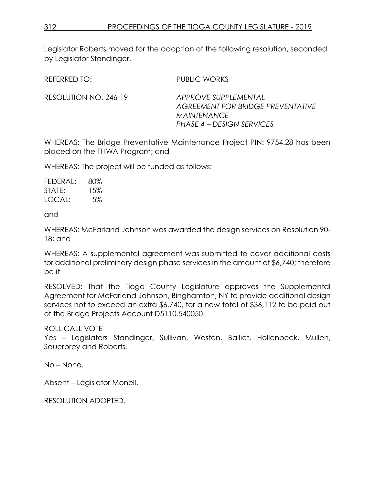Legislator Roberts moved for the adoption of the following resolution, seconded by Legislator Standinger.

REFERRED TO: PUBLIC WORKS

RESOLUTION NO. 246-19 *APPROVE SUPPLEMENTAL* 

*AGREEMENT FOR BRIDGE PREVENTATIVE MAINTENANCE PHASE 4 – DESIGN SERVICES* 

WHEREAS: The Bridge Preventative Maintenance Project PIN: 9754.28 has been placed on the FHWA Program; and

WHEREAS: The project will be funded as follows:

| FEDERAL: | 80% |
|----------|-----|
| STATE:   | 15% |
| LOCAL:   | 5%  |

and

WHEREAS: McFarland Johnson was awarded the design services on Resolution 90- 18; and

WHEREAS: A supplemental agreement was submitted to cover additional costs for additional preliminary design phase services in the amount of \$6,740; therefore be it

RESOLVED: That the Tioga County Legislature approves the Supplemental Agreement for McFarland Johnson, Binghamton, NY to provide additional design services not to exceed an extra \$6,740, for a new total of \$36,112 to be paid out of the Bridge Projects Account D5110.540050.

ROLL CALL VOTE

Yes – Legislators Standinger, Sullivan, Weston, Balliet, Hollenbeck, Mullen, Sauerbrey and Roberts.

No – None.

Absent – Legislator Monell.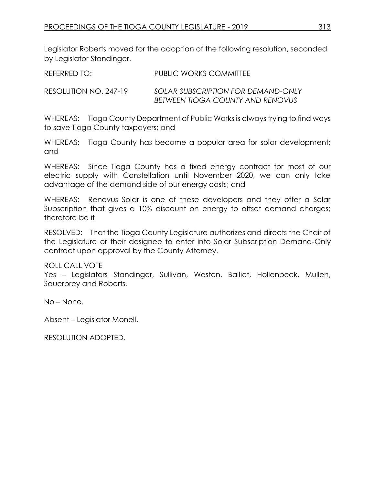Legislator Roberts moved for the adoption of the following resolution, seconded by Legislator Standinger.

RESOLUTION NO. 247-19 *SOLAR SUBSCRIPTION FOR DEMAND-ONLY BETWEEN TIOGA COUNTY AND RENOVUS*

WHEREAS: Tioga County Department of Public Works is always trying to find ways to save Tioga County taxpayers; and

WHEREAS: Tioga County has become a popular area for solar development; and

WHEREAS: Since Tioga County has a fixed energy contract for most of our electric supply with Constellation until November 2020, we can only take advantage of the demand side of our energy costs; and

WHEREAS: Renovus Solar is one of these developers and they offer a Solar Subscription that gives a 10% discount on energy to offset demand charges; therefore be it

RESOLVED: That the Tioga County Legislature authorizes and directs the Chair of the Legislature or their designee to enter into Solar Subscription Demand-Only contract upon approval by the County Attorney.

# ROLL CALL VOTE

Yes – Legislators Standinger, Sullivan, Weston, Balliet, Hollenbeck, Mullen, Sauerbrey and Roberts.

No – None.

Absent – Legislator Monell.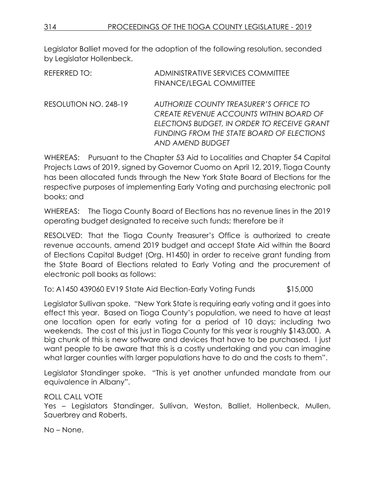Legislator Balliet moved for the adoption of the following resolution, seconded by Legislator Hollenbeck.

| <b>REFERRED TO:</b>   | ADMINISTRATIVE SERVICES COMMITTEE                                                                                                                                                                        |
|-----------------------|----------------------------------------------------------------------------------------------------------------------------------------------------------------------------------------------------------|
|                       | <b>FINANCE/LEGAL COMMITTEE</b>                                                                                                                                                                           |
| RESOLUTION NO. 248-19 | AUTHORIZE COUNTY TREASURER'S OFFICE TO<br><b>CREATE REVENUE ACCOUNTS WITHIN BOARD OF</b><br>ELECTIONS BUDGET, IN ORDER TO RECEIVE GRANT<br>FUNDING FROM THE STATE BOARD OF ELECTIONS<br>AND AMEND BUDGET |

WHEREAS: Pursuant to the Chapter 53 Aid to Localities and Chapter 54 Capital Projects Laws of 2019, signed by Governor Cuomo on April 12, 2019, Tioga County has been allocated funds through the New York State Board of Elections for the respective purposes of implementing Early Voting and purchasing electronic poll books; and

WHEREAS: The Tioga County Board of Elections has no revenue lines in the 2019 operating budget designated to receive such funds; therefore be it

RESOLVED: That the Tioga County Treasurer's Office is authorized to create revenue accounts, amend 2019 budget and accept State Aid within the Board of Elections Capital Budget (Org. H1450) in order to receive grant funding from the State Board of Elections related to Early Voting and the procurement of electronic poll books as follows:

To: A1450 439060 EV19 State Aid Election-Early Voting Funds \$15,000

Legislator Sullivan spoke. "New York State is requiring early voting and it goes into effect this year. Based on Tioga County's population, we need to have at least one location open for early voting for a period of 10 days; including two weekends. The cost of this just in Tioga County for this year is roughly \$143,000. A big chunk of this is new software and devices that have to be purchased. I just want people to be aware that this is a costly undertaking and you can imagine what larger counties with larger populations have to do and the costs to them".

Legislator Standinger spoke. "This is yet another unfunded mandate from our equivalence in Albany".

ROLL CALL VOTE

Yes – Legislators Standinger, Sullivan, Weston, Balliet, Hollenbeck, Mullen, Sauerbrey and Roberts.

No – None.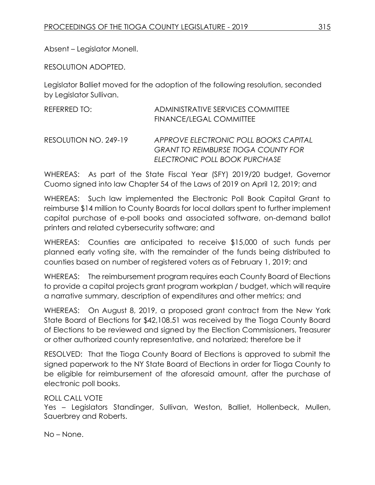Absent – Legislator Monell.

RESOLUTION ADOPTED.

Legislator Balliet moved for the adoption of the following resolution, seconded by Legislator Sullivan.

| REFERRED TO:          | ADMINISTRATIVE SERVICES COMMITTEE<br>FINANCE/LEGAL COMMITTEE                                                         |
|-----------------------|----------------------------------------------------------------------------------------------------------------------|
| RESOLUTION NO. 249-19 | APPROVE ELECTRONIC POLL BOOKS CAPITAL<br><b>GRANT TO REIMBURSE TIOGA COUNTY FOR</b><br>ELECTRONIC POLL BOOK PURCHASE |

WHEREAS: As part of the State Fiscal Year (SFY) 2019/20 budget, Governor Cuomo signed into law Chapter 54 of the Laws of 2019 on April 12, 2019; and

WHEREAS: Such law implemented the Electronic Poll Book Capital Grant to reimburse \$14 million to County Boards for local dollars spent to further implement capital purchase of e-poll books and associated software, on-demand ballot printers and related cybersecurity software; and

WHEREAS: Counties are anticipated to receive \$15,000 of such funds per planned early voting site, with the remainder of the funds being distributed to counties based on number of registered voters as of February 1, 2019; and

WHEREAS: The reimbursement program requires each County Board of Elections to provide a capital projects grant program workplan / budget, which will require a narrative summary, description of expenditures and other metrics; and

WHEREAS: On August 8, 2019, a proposed grant contract from the New York State Board of Elections for \$42,108.51 was received by the Tioga County Board of Elections to be reviewed and signed by the Election Commissioners, Treasurer or other authorized county representative, and notarized; therefore be it

RESOLVED: That the Tioga County Board of Elections is approved to submit the signed paperwork to the NY State Board of Elections in order for Tioga County to be eligible for reimbursement of the aforesaid amount, after the purchase of electronic poll books.

# ROLL CALL VOTE

Yes – Legislators Standinger, Sullivan, Weston, Balliet, Hollenbeck, Mullen, Sauerbrey and Roberts.

No – None.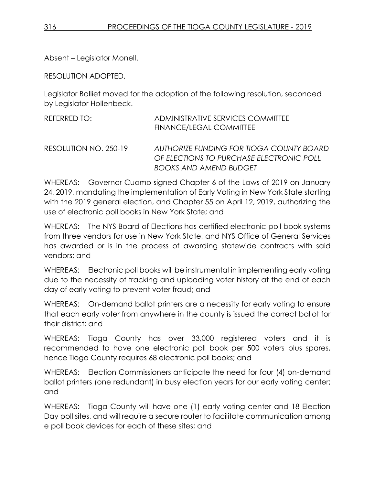Absent – Legislator Monell.

RESOLUTION ADOPTED.

Legislator Balliet moved for the adoption of the following resolution, seconded by Legislator Hollenbeck.

| REFERRED TO:          | ADMINISTRATIVE SERVICES COMMITTEE<br>FINANCE/LEGAL COMMITTEE                         |
|-----------------------|--------------------------------------------------------------------------------------|
| RESOLUTION NO. 250-19 | AUTHORIZE FUNDING FOR TIOGA COUNTY BOARD<br>OF ELECTIONS TO PURCHASE ELECTRONIC POLL |
|                       | <b>BOOKS AND AMEND BUDGET</b>                                                        |

WHEREAS: Governor Cuomo signed Chapter 6 of the Laws of 2019 on January 24, 2019, mandating the implementation of Early Voting in New York State starting with the 2019 general election, and Chapter 55 on April 12, 2019, authorizing the use of electronic poll books in New York State; and

WHEREAS: The NYS Board of Elections has certified electronic poll book systems from three vendors for use in New York State, and NYS Office of General Services has awarded or is in the process of awarding statewide contracts with said vendors; and

WHEREAS: Electronic poll books will be instrumental in implementing early voting due to the necessity of tracking and uploading voter history at the end of each day of early voting to prevent voter fraud; and

WHEREAS: On-demand ballot printers are a necessity for early voting to ensure that each early voter from anywhere in the county is issued the correct ballot for their district; and

WHEREAS: Tioga County has over 33,000 registered voters and it is recommended to have one electronic poll book per 500 voters plus spares, hence Tioga County requires 68 electronic poll books; and

WHEREAS: Election Commissioners anticipate the need for four (4) on-demand ballot printers (one redundant) in busy election years for our early voting center; and

WHEREAS: Tioga County will have one (1) early voting center and 18 Election Day poll sites, and will require a secure router to facilitate communication among e poll book devices for each of these sites; and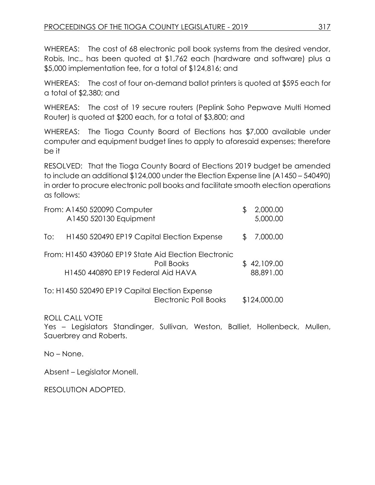WHEREAS: The cost of 68 electronic poll book systems from the desired vendor, Robis, Inc., has been quoted at \$1,762 each (hardware and software) plus a \$5,000 implementation fee, for a total of \$124,816; and

WHEREAS: The cost of four on-demand ballot printers is quoted at \$595 each for a total of \$2,380; and

WHEREAS: The cost of 19 secure routers (Peplink Soho Pepwave Multi Homed Router) is quoted at \$200 each, for a total of \$3,800; and

WHEREAS: The Tioga County Board of Elections has \$7,000 available under computer and equipment budget lines to apply to aforesaid expenses; therefore be it

RESOLVED: That the Tioga County Board of Elections 2019 budget be amended to include an additional \$124,000 under the Election Expense line (A1450 – 540490) in order to procure electronic poll books and facilitate smooth election operations as follows:

|     | From: A1450 520090 Computer<br>A1450 520130 Equipment                                                     |     | 2,000.00<br>5,000.00     |
|-----|-----------------------------------------------------------------------------------------------------------|-----|--------------------------|
| To: | H1450 520490 EP19 Capital Election Expense                                                                | \$. | 7,000.00                 |
|     | From: H1450 439060 EP19 State Aid Election Electronic<br>Poll Books<br>H1450 440890 EP19 Federal Aid HAVA |     | \$42,109.00<br>88,891.00 |
|     | To: H1450 520490 EP19 Capital Election Expense<br><b>Electronic Poll Books</b>                            |     | \$124,000.00             |

ROLL CALL VOTE

Yes – Legislators Standinger, Sullivan, Weston, Balliet, Hollenbeck, Mullen, Sauerbrey and Roberts.

No – None.

Absent – Legislator Monell.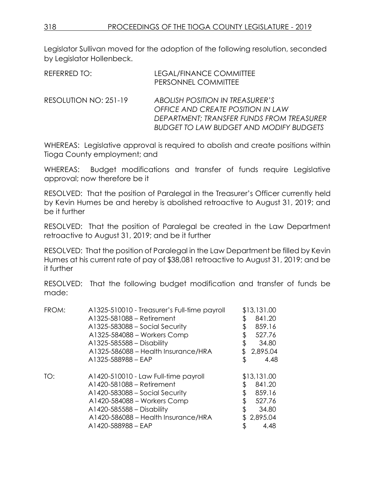Legislator Sullivan moved for the adoption of the following resolution, seconded by Legislator Hollenbeck.

| REFERRED TO:          | LEGAL/FINANCE COMMITTEE<br>PERSONNEL COMMITTEE                                                                                                                      |
|-----------------------|---------------------------------------------------------------------------------------------------------------------------------------------------------------------|
| RESOLUTION NO: 251-19 | ABOLISH POSITION IN TREASURER'S<br>OFFICE AND CREATE POSITION IN LAW<br>DEPARTMENT: TRANSFER FUNDS FROM TREASURER<br><b>BUDGET TO LAW BUDGET AND MODIFY BUDGETS</b> |

WHEREAS: Legislative approval is required to abolish and create positions within Tioga County employment; and

WHEREAS: Budget modifications and transfer of funds require Legislative approval; now therefore be it

RESOLVED: That the position of Paralegal in the Treasurer's Officer currently held by Kevin Humes be and hereby is abolished retroactive to August 31, 2019; and be it further

RESOLVED: That the position of Paralegal be created in the Law Department retroactive to August 31, 2019; and be it further

RESOLVED: That the position of Paralegal in the Law Department be filled by Kevin Humes at his current rate of pay of \$38,081 retroactive to August 31, 2019; and be it further

RESOLVED: That the following budget modification and transfer of funds be made:

| FROM: | A1325-510010 - Treasurer's Full-time payroll | \$13,131.00    |
|-------|----------------------------------------------|----------------|
|       | A1325-581088 - Retirement                    | 841.20         |
|       | A1325-583088 - Social Security               | \$<br>859.16   |
|       | A1325-584088 - Workers Comp                  | 527.76         |
|       | A1325-585588 - Disability                    | \$<br>34.80    |
|       | A1325-586088 - Health Insurance/HRA          | \$<br>2,895.04 |
|       | A1325-588988 - EAP                           | \$<br>4.48     |
| TO:   | A1420-510010 - Law Full-time payroll         | \$13,131.00    |
|       | A1420-581088 - Retirement                    | 841.20         |
|       | $A1420-583088 - Social Security$             | \$<br>859.16   |
|       | A1420-584088 - Workers Comp                  | 527.76         |
|       | $A1420-585588 - Disability$                  | \$<br>34.80    |
|       | A1420-586088 - Health Insurance/HRA          | \$2,895.04     |
|       | A1420-588988 - EAP                           | \$<br>4.48     |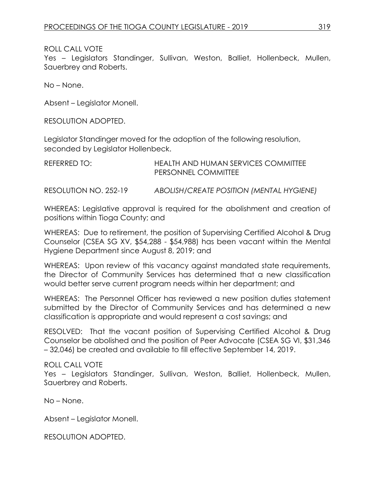### ROLL CALL VOTE

Yes – Legislators Standinger, Sullivan, Weston, Balliet, Hollenbeck, Mullen, Sauerbrey and Roberts.

No – None.

Absent – Legislator Monell.

RESOLUTION ADOPTED.

Legislator Standinger moved for the adoption of the following resolution, seconded by Legislator Hollenbeck.

| REFERRED TO:          | <b>HEALTH AND HUMAN SERVICES COMMITTEE</b><br><b>PERSONNEL COMMITTEE</b> |  |
|-----------------------|--------------------------------------------------------------------------|--|
| RESOLUTION NO. 252-19 | ABOLISH/CREATE POSITION (MENTAL HYGIENE)                                 |  |

WHEREAS: Legislative approval is required for the abolishment and creation of positions within Tioga County; and

WHEREAS: Due to retirement, the position of Supervising Certified Alcohol & Drug Counselor (CSEA SG XV, \$54,288 - \$54,988) has been vacant within the Mental Hygiene Department since August 8, 2019; and

WHEREAS: Upon review of this vacancy against mandated state requirements, the Director of Community Services has determined that a new classification would better serve current program needs within her department; and

WHEREAS: The Personnel Officer has reviewed a new position duties statement submitted by the Director of Community Services and has determined a new classification is appropriate and would represent a cost savings; and

RESOLVED: That the vacant position of Supervising Certified Alcohol & Drug Counselor be abolished and the position of Peer Advocate (CSEA SG VI, \$31,346 – 32,046) be created and available to fill effective September 14, 2019.

#### ROLL CALL VOTE

Yes – Legislators Standinger, Sullivan, Weston, Balliet, Hollenbeck, Mullen, Sauerbrey and Roberts.

No – None.

Absent – Legislator Monell.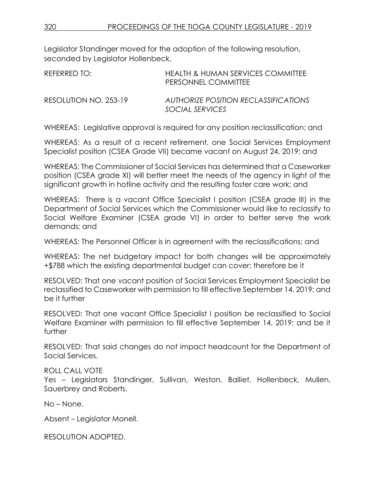Legislator Standinger moved for the adoption of the following resolution, seconded by Legislator Hollenbeck.

| REFERRED TO:          | HEALTH & HUMAN SERVICES COMMITTEE<br>PERSONNEL COMMITTEE |
|-----------------------|----------------------------------------------------------|
| RESOLUTION NO. 253-19 | AUTHORIZE POSITION RECLASSIFICATIONS<br>SOCIAL SERVICES  |

WHEREAS: Legislative approval is required for any position reclassification; and

WHEREAS: As a result of a recent retirement, one Social Services Employment Specialist position (CSEA Grade VII) became vacant on August 24, 2019; and

WHEREAS: The Commissioner of Social Services has determined that a Caseworker position (CSEA grade XI) will better meet the needs of the agency in light of the significant growth in hotline activity and the resulting foster care work; and

WHEREAS: There is a vacant Office Specialist I position (CSEA grade III) in the Department of Social Services which the Commissioner would like to reclassify to Social Welfare Examiner (CSEA grade VI) in order to better serve the work demands; and

WHEREAS: The Personnel Officer is in agreement with the reclassifications; and

WHEREAS: The net budgetary impact for both changes will be approximately +\$788 which the existing departmental budget can cover; therefore be it

RESOLVED: That one vacant position of Social Services Employment Specialist be reclassified to Caseworker with permission to fill effective September 14, 2019; and be it further

RESOLVED: That one vacant Office Specialist I position be reclassified to Social Welfare Examiner with permission to fill effective September 14, 2019; and be it further

RESOLVED: That said changes do not impact headcount for the Department of Social Services.

# ROLL CALL VOTE

Yes – Legislators Standinger, Sullivan, Weston, Balliet, Hollenbeck, Mullen, Sauerbrey and Roberts.

No – None.

Absent – Legislator Monell.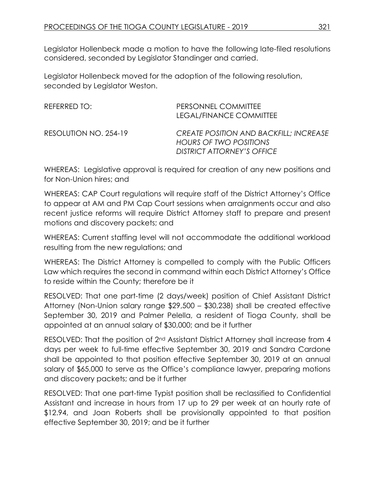Legislator Hollenbeck made a motion to have the following late-filed resolutions considered, seconded by Legislator Standinger and carried.

Legislator Hollenbeck moved for the adoption of the following resolution, seconded by Legislator Weston.

| REFERRED TO:          | PERSONNEL COMMITTEE<br>LEGAL/FINANCE COMMITTEE                                                 |
|-----------------------|------------------------------------------------------------------------------------------------|
| RESOLUTION NO. 254-19 | CREATE POSITION AND BACKFILL; INCREASE<br>HOURS OF TWO POSITIONS<br>DISTRICT ATTORNEY'S OFFICE |

WHEREAS: Legislative approval is required for creation of any new positions and for Non-Union hires; and

WHEREAS: CAP Court regulations will require staff of the District Attorney's Office to appear at AM and PM Cap Court sessions when arraignments occur and also recent justice reforms will require District Attorney staff to prepare and present motions and discovery packets; and

WHEREAS: Current staffing level will not accommodate the additional workload resulting from the new regulations; and

WHEREAS: The District Attorney is compelled to comply with the Public Officers Law which requires the second in command within each District Attorney's Office to reside within the County; therefore be it

RESOLVED: That one part-time (2 days/week) position of Chief Assistant District Attorney (Non-Union salary range \$29,500 – \$30,238) shall be created effective September 30, 2019 and Palmer Pelella, a resident of Tioga County, shall be appointed at an annual salary of \$30,000; and be it further

RESOLVED: That the position of 2<sup>nd</sup> Assistant District Attorney shall increase from 4 days per week to full-time effective September 30, 2019 and Sandra Cardone shall be appointed to that position effective September 30, 2019 at an annual salary of \$65,000 to serve as the Office's compliance lawyer, preparing motions and discovery packets; and be it further

RESOLVED: That one part-time Typist position shall be reclassified to Confidential Assistant and increase in hours from 17 up to 29 per week at an hourly rate of \$12.94, and Joan Roberts shall be provisionally appointed to that position effective September 30, 2019; and be it further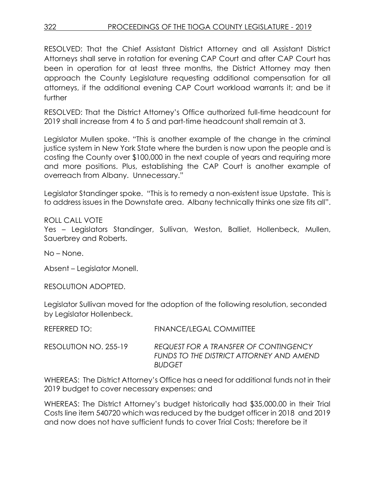# 322 PROCEEDINGS OF THE TIOGA COUNTY LEGISLATURE - 2019

RESOLVED: That the Chief Assistant District Attorney and all Assistant District Attorneys shall serve in rotation for evening CAP Court and after CAP Court has been in operation for at least three months, the District Attorney may then approach the County Legislature requesting additional compensation for all attorneys, if the additional evening CAP Court workload warrants it; and be it further

RESOLVED: That the District Attorney's Office authorized full-time headcount for 2019 shall increase from 4 to 5 and part-time headcount shall remain at 3.

Legislator Mullen spoke. "This is another example of the change in the criminal justice system in New York State where the burden is now upon the people and is costing the County over \$100,000 in the next couple of years and requiring more and more positions. Plus, establishing the CAP Court is another example of overreach from Albany. Unnecessary."

Legislator Standinger spoke. "This is to remedy a non-existent issue Upstate. This is to address issues in the Downstate area. Albany technically thinks one size fits all".

### ROLL CALL VOTE

Yes – Legislators Standinger, Sullivan, Weston, Balliet, Hollenbeck, Mullen, Sauerbrey and Roberts.

No – None.

Absent – Legislator Monell.

RESOLUTION ADOPTED.

Legislator Sullivan moved for the adoption of the following resolution, seconded by Legislator Hollenbeck.

| REFERRED TO:          | FINANCE/LEGAL COMMITTEE                                                                                   |
|-----------------------|-----------------------------------------------------------------------------------------------------------|
| RESOLUTION NO. 255-19 | <b>REQUEST FOR A TRANSFER OF CONTINGENCY</b><br>FUNDS TO THE DISTRICT ATTORNEY AND AMEND<br><b>BUDGET</b> |

WHEREAS: The District Attorney's Office has a need for additional funds not in their 2019 budget to cover necessary expenses; and

WHEREAS: The District Attorney's budget historically had \$35,000.00 in their Trial Costs line item 540720 which was reduced by the budget officer in 2018 and 2019 and now does not have sufficient funds to cover Trial Costs; therefore be it